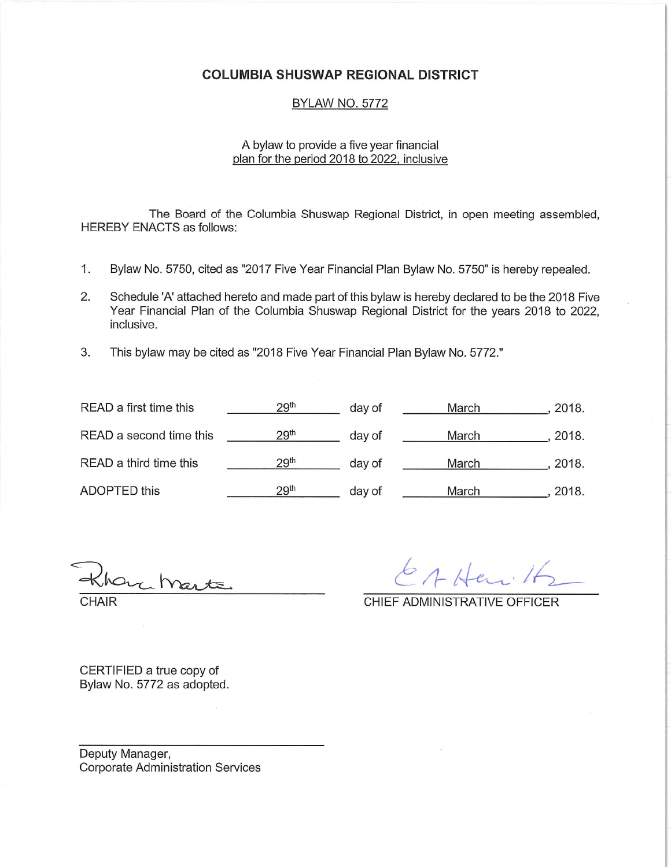#### COLUMBIA SHUSWAP REGIONAL DISTRICT

#### BYLAW NO. 5772

#### A bylaw to provide a five year financial plan for the period 2018 to 2022, inclusive

The Board of the Columbia Shuswap Regional District, in open meeting assembled, HEREBY ENACTS as follows:

- 1. Bylaw No. 5750, cited as "2017 Five Year Financial Plan Bylaw No. 5750" is hereby repealed.
- 2. Schedule 'A' attached hereto and made part of this bylaw is hereby declared to be the 2018 Five Year Financial Plan of the Columbia Shuswap Regional District for the years 2018 to 2022, inclusive.
- 3. This bylaw may be cited as "2018 Five Year Financial Plan Bylaw No. 5772"

| READ a first time this  | 29 <sup>th</sup> | day of | March | 2018. |
|-------------------------|------------------|--------|-------|-------|
| READ a second time this | 29 <sup>th</sup> | day of | March | 2018. |
| READ a third time this  | 29 <sup>th</sup> | day of | March | 2018. |
| ADOPTED this            | 29 <sup>th</sup> | day of | March | 2018. |

 $V$  $G_A$ CHAIR CHIEF ADMINISTRATIVE OFFICER

 $6$  A Her.

CERTIFIED a true copy of Bylaw No. 5772 as adopted.

Deputy Manager, Corporate Administration Services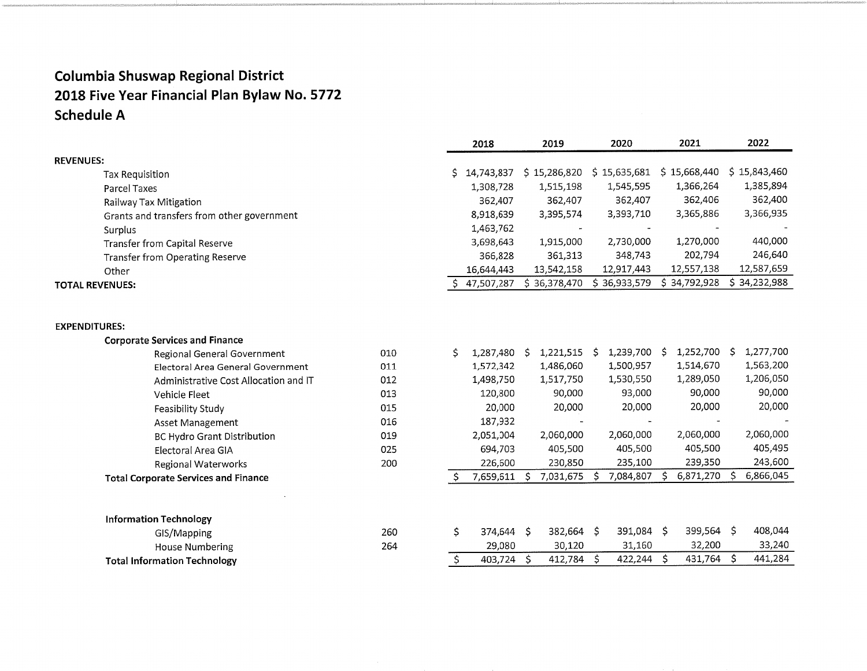|                                             |     |    | 2018       | 2019               | 2020             | 2021         | 2022           |
|---------------------------------------------|-----|----|------------|--------------------|------------------|--------------|----------------|
| <b>REVENUES:</b>                            |     |    |            |                    |                  |              |                |
| <b>Tax Requisition</b>                      |     | S  | 14,743,837 | \$15,286,820       | \$15,635,681     | \$15,668,440 | \$15,843,460   |
| Parcel Taxes                                |     |    | 1,308,728  | 1,515,198          | 1,545,595        | 1,366,264    | 1,385,894      |
| Railway Tax Mitigation                      |     |    | 362,407    | 362,407            | 362,407          | 362,406      | 362,400        |
| Grants and transfers from other government  |     |    | 8,918,639  | 3,395,574          | 3,393,710        | 3,365,886    | 3,366,935      |
| Surplus                                     |     |    | 1,463,762  |                    |                  |              |                |
| Transfer from Capital Reserve               |     |    | 3,698,643  | 1,915,000          | 2,730,000        | 1,270,000    | 440,000        |
| <b>Transfer from Operating Reserve</b>      |     |    | 366,828    | 361,313            | 348,743          | 202,794      | 246,640        |
| Other                                       |     |    | 16,644,443 | 13,542,158         | 12,917,443       | 12,557,138   | 12,587,659     |
| <b>TOTAL REVENUES:</b>                      |     | S. | 47,507,287 | \$36,378,470       | \$36,933,579     | \$34,792,928 | \$34,232,988   |
|                                             |     |    |            |                    |                  |              |                |
| <b>EXPENDITURES:</b>                        |     |    |            |                    |                  |              |                |
| <b>Corporate Services and Finance</b>       |     |    |            |                    |                  |              |                |
| Regional General Government                 | 010 | \$ | 1,287,480  | 1,221,515 \$<br>S. | 1,239,700 \$     | 1,252,700 \$ | 1,277,700      |
| Electoral Area General Government           | 011 |    | 1,572,342  | 1,486,060          | 1,500,957        | 1,514,670    | 1,563,200      |
| Administrative Cost Allocation and IT       | 012 |    | 1,498,750  | 1,517,750          | 1,530,550        | 1,289,050    | 1,206,050      |
| Vehicle Fleet                               | 013 |    | 120,800    | 90,000             | 93,000           | 90,000       | 90,000         |
| Feasibility Study                           | 015 |    | 20,000     | 20,000             | 20,000           | 20,000       | 20,000         |
| Asset Management                            | 016 |    | 187,932    |                    |                  |              |                |
| <b>BC Hydro Grant Distribution</b>          | 019 |    | 2,051,004  | 2,060,000          | 2,060,000        | 2,060,000    | 2,060,000      |
| Electoral Area GIA                          | 025 |    | 694,703    | 405,500            | 405,500          | 405,500      | 405,495        |
| Regional Waterworks                         | 200 |    | 226,600    | 230,850            | 235,100          | 239,350      | 243,600        |
| <b>Total Corporate Services and Finance</b> |     |    | 7,659,611  | 7,031,675<br>Š.    | Ś<br>7,084,807   | 6,871,270    | 6,866,045<br>Ś |
|                                             |     |    |            |                    |                  |              |                |
| <b>Information Technology</b>               |     |    |            |                    |                  |              |                |
| GIS/Mapping                                 | 260 | \$ | 374,644 \$ | 382,664            | 391,084 \$<br>-S | 399,564 \$   | 408,044        |
| House Numbering                             | 264 |    | 29,080     | 30,120             | 31,160           | 32,200       | 33,240         |
| <b>Total Information Technology</b>         |     | \$ | 403,724    | Ŝ.<br>412,784      | 422,244 S<br>\$  | 431,764 \$   | 441,284        |
|                                             |     |    |            |                    |                  |              |                |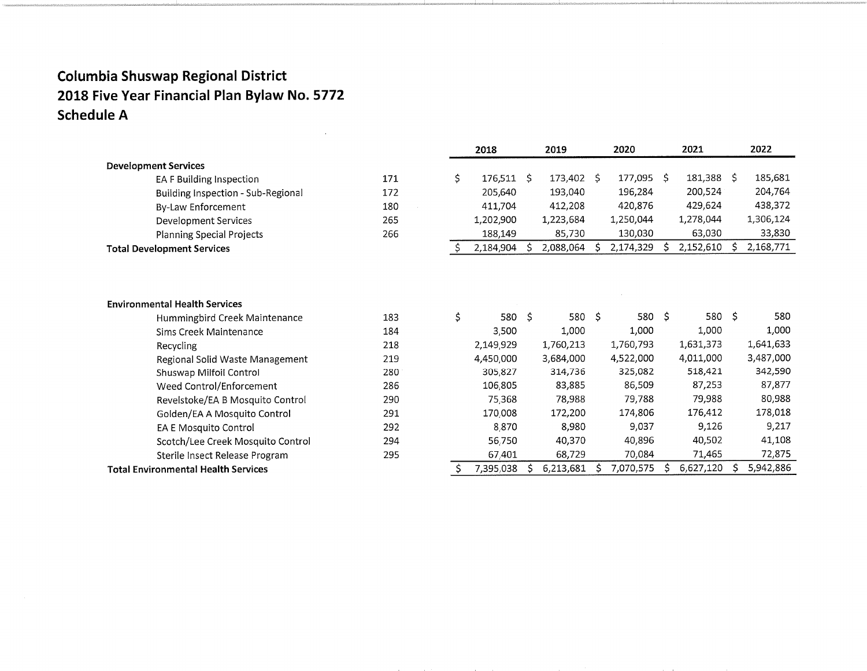$\bar{z}$ 

|                                            |     |     | 2018         | 2019 |            | 2020 |           | 2021         |            |    | 2022      |
|--------------------------------------------|-----|-----|--------------|------|------------|------|-----------|--------------|------------|----|-----------|
| <b>Development Services</b>                |     |     |              |      |            |      |           |              |            |    |           |
| EA F Building Inspection                   | 171 | \$  | $176,511$ \$ |      | 173,402 \$ |      | 177,095   | -S           | 181,388 \$ |    | 185,681   |
| Building Inspection - Sub-Regional         | 172 |     | 205,640      |      | 193,040    |      | 196,284   |              | 200,524    |    | 204,764   |
| By-Law Enforcement                         | 180 |     | 411,704      |      | 412,208    |      | 420,876   |              | 429,624    |    | 438,372   |
| Development Services                       | 265 |     | 1,202,900    |      | 1,223,684  |      | 1,250,044 |              | 1,278,044  |    | 1,306,124 |
| <b>Planning Special Projects</b>           | 266 |     | 188,149      |      | 85,730     |      | 130,030   |              | 63,030     |    | 33,830    |
| <b>Total Development Services</b>          |     | \$. | 2,184,904    |      | 2,088,064  |      | 2,174,329 | Ŝ            | 2,152,610  | S  | 2,168,771 |
|                                            |     |     |              |      |            |      |           |              |            |    |           |
| <b>Environmental Health Services</b>       |     |     |              |      |            |      |           |              |            |    |           |
| Hummingbird Creek Maintenance              | 183 | \$  | 580 \$       |      | 580 \$     |      | 580       | $\mathsf{S}$ | 580        | Ŝ. | 580       |
| Sims Creek Maintenance                     | 184 |     | 3,500        |      | 1,000      |      | 1,000     |              | 1,000      |    | 1,000     |
| Recycling                                  | 218 |     | 2,149,929    |      | 1,760,213  |      | 1,760,793 |              | 1,631,373  |    | 1,641,633 |
| Regional Solid Waste Management            | 219 |     | 4,450,000    |      | 3,684,000  |      | 4,522,000 |              | 4,011,000  |    | 3,487,000 |
| Shuswap Milfoil Control                    | 280 |     | 305,827      |      | 314,736    |      | 325,082   |              | 518,421    |    | 342,590   |
| Weed Control/Enforcement                   | 286 |     | 106,805      |      | 83,885     |      | 86,509    |              | 87,253     |    | 87,877    |
| Revelstoke/EA B Mosquito Control           | 290 |     | 75,368       |      | 78,988     |      | 79,788    |              | 79,988     |    | 80,988    |
| Golden/EA A Mosquito Control               | 291 |     | 170,008      |      | 172,200    |      | 174,806   |              | 176,412    |    | 178,018   |
| EA E Mosquito Control                      | 292 |     | 8.870        |      | 8,980      |      | 9,037     |              | 9,126      |    | 9,217     |
| Scotch/Lee Creek Mosquito Control          | 294 |     | 56,750       |      | 40,370     |      | 40.896    |              | 40,502     |    | 41,108    |
| Sterile Insect Release Program             | 295 |     | 67,401       |      | 68,729     |      | 70,084    |              | 71,465     |    | 72,875    |
| <b>Total Environmental Health Services</b> |     |     | 7,395,038    |      | 6,213,681  |      | 7,070,575 | S            | 6,627,120  |    | 5,942,886 |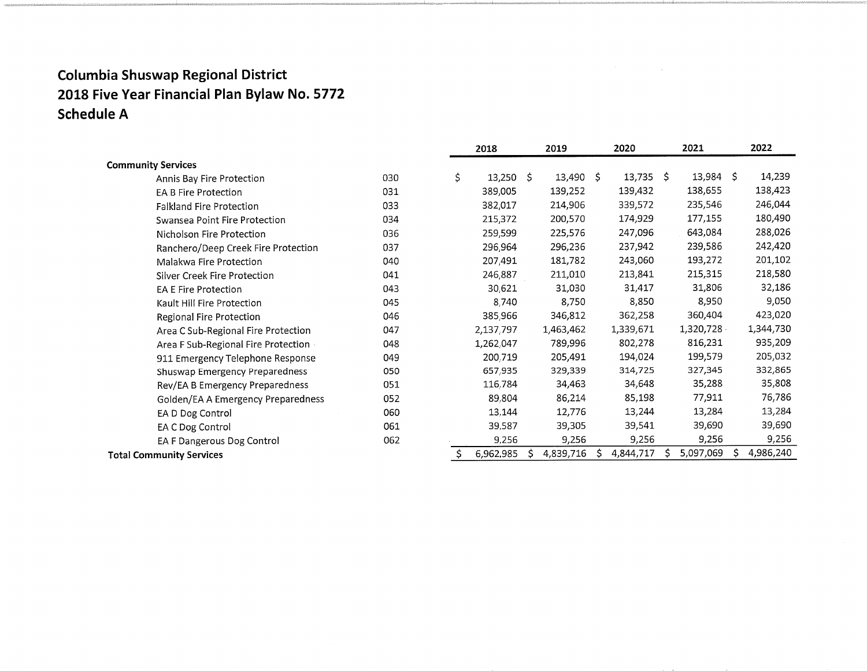|                                     |     | 2018              | 2019 |             |    | 2020        | 2021 |           |   | 2022      |
|-------------------------------------|-----|-------------------|------|-------------|----|-------------|------|-----------|---|-----------|
| <b>Community Services</b>           |     |                   |      |             |    |             |      |           |   |           |
| Annis Bay Fire Protection           | 030 | \$<br>$13,250$ \$ |      | $13,490$ \$ |    | $13,735$ \$ |      | 13,984 \$ |   | 14,239    |
| <b>EA B Fire Protection</b>         | 031 | 389,005           |      | 139,252     |    | 139,432     |      | 138,655   |   | 138,423   |
| <b>Falkland Fire Protection</b>     | 033 | 382,017           |      | 214,906     |    | 339,572     |      | 235,546   |   | 246,044   |
| Swansea Point Fire Protection       | 034 | 215,372           |      | 200,570     |    | 174,929     |      | 177,155   |   | 180,490   |
| Nicholson Fire Protection           | 036 | 259,599           |      | 225,576     |    | 247,096     |      | 643,084   |   | 288,026   |
| Ranchero/Deep Creek Fire Protection | 037 | 296,964           |      | 296,236     |    | 237,942     |      | 239,586   |   | 242,420   |
| Malakwa Fire Protection             | 040 | 207,491           |      | 181,782     |    | 243,060     |      | 193,272   |   | 201,102   |
| Silver Creek Fire Protection        | 041 | 246,887           |      | 211,010     |    | 213,841     |      | 215,315   |   | 218,580   |
| <b>EA E Fire Protection</b>         | 043 | 30,621            |      | 31,030      |    | 31,417      |      | 31,806    |   | 32,186    |
| Kault Hill Fire Protection          | 045 | 8,740             |      | 8,750       |    | 8,850       |      | 8,950     |   | 9,050     |
| Regional Fire Protection            | 046 | 385,966           |      | 346,812     |    | 362,258     |      | 360,404   |   | 423,020   |
| Area C Sub-Regional Fire Protection | 047 | 2,137,797         |      | 1,463,462   |    | 1,339,671   |      | 1,320,728 |   | 1,344,730 |
| Area F Sub-Regional Fire Protection | 048 | 1,262,047         |      | 789,996     |    | 802,278     |      | 816,231   |   | 935,209   |
| 911 Emergency Telephone Response    | 049 | 200,719           |      | 205,491     |    | 194,024     |      | 199,579   |   | 205,032   |
| Shuswap Emergency Preparedness      | 050 | 657,935           |      | 329,339     |    | 314,725     |      | 327,345   |   | 332,865   |
| Rev/EA B Emergency Preparedness     | 051 | 116,784           |      | 34,463      |    | 34,648      |      | 35,288    |   | 35,808    |
| Golden/EA A Emergency Preparedness  | 052 | 89,804            |      | 86,214      |    | 85,198      |      | 77,911    |   | 76,786    |
| EA D Dog Control                    | 060 | 13,144            |      | 12,776      |    | 13,244      |      | 13,284    |   | 13,284    |
| EA C Dog Control                    | 061 | 39,587            |      | 39,305      |    | 39,541      |      | 39,690    |   | 39,690    |
| EA F Dangerous Dog Control          | 062 | 9,256             |      | 9,256       |    | 9,256       |      | 9,256     |   | 9,256     |
| <b>Total Community Services</b>     |     | 6,962,985         |      | 4,839,716   | -S | 4,844,717   |      | 5,097,069 | S | 4,986,240 |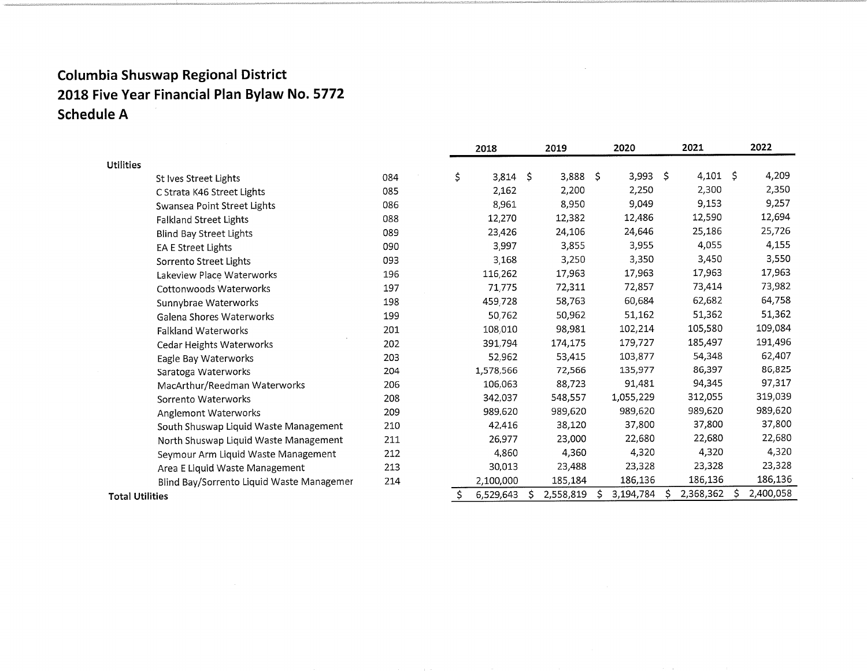|                        |                                           |     | 2018            |     | 2019      |                     | 2020      |         | 2021      |    | 2022      |
|------------------------|-------------------------------------------|-----|-----------------|-----|-----------|---------------------|-----------|---------|-----------|----|-----------|
| <b>Utilities</b>       |                                           |     |                 |     |           |                     |           |         |           |    |           |
|                        | St Ives Street Lights                     | 084 | \$<br>3,814     | \$. | 3,888     | $\ddot{\mathsf{S}}$ | 3,993     | $\zeta$ | 4,101     | -S | 4,209     |
|                        | C Strata K46 Street Lights                | 085 | 2,162           |     | 2,200     |                     | 2,250     |         | 2,300     |    | 2,350     |
|                        | Swansea Point Street Lights               | 086 | 8,961           |     | 8,950     |                     | 9,049     |         | 9,153     |    | 9,257     |
|                        | <b>Falkland Street Lights</b>             | 088 | 12,270          |     | 12,382    |                     | 12,486    |         | 12,590    |    | 12,694    |
|                        | Blind Bay Street Lights                   | 089 | 23,426          |     | 24,106    |                     | 24,646    |         | 25,186    |    | 25,726    |
|                        | EA E Street Lights                        | 090 | 3,997           |     | 3,855     |                     | 3,955     |         | 4,055     |    | 4,155     |
|                        | Sorrento Street Lights                    | 093 | 3,168           |     | 3,250     |                     | 3,350     |         | 3,450     |    | 3,550     |
|                        | Lakeview Place Waterworks                 | 196 | 116,262         |     | 17,963    |                     | 17,963    |         | 17,963    |    | 17,963    |
|                        | Cottonwoods Waterworks                    | 197 | 71,775          |     | 72,311    |                     | 72,857    |         | 73,414    |    | 73,982    |
|                        | Sunnybrae Waterworks                      | 198 | 459,728         |     | 58,763    |                     | 60,684    |         | 62,682    |    | 64,758    |
|                        | Galena Shores Waterworks                  | 199 | 50,762          |     | 50,962    |                     | 51,162    |         | 51,362    |    | 51,362    |
|                        | <b>Falkland Waterworks</b>                | 201 | 108,010         |     | 98,981    |                     | 102,214   |         | 105,580   |    | 109,084   |
|                        | Cedar Heights Waterworks                  | 202 | 391,794         |     | 174,175   |                     | 179,727   |         | 185,497   |    | 191,496   |
|                        | Eagle Bay Waterworks                      | 203 | 52,962          |     | 53,415    |                     | 103,877   |         | 54,348    |    | 62,407    |
|                        | Saratoga Waterworks                       | 204 | 1,578,566       |     | 72,566    |                     | 135,977   |         | 86,397    |    | 86,825    |
|                        | MacArthur/Reedman Waterworks              | 206 | 106,063         |     | 88,723    |                     | 91,481    |         | 94,345    |    | 97,317    |
|                        | Sorrento Waterworks                       | 208 | 342,037         |     | 548,557   |                     | 1,055,229 |         | 312,055   |    | 319,039   |
|                        | Anglemont Waterworks                      | 209 | 989,620         |     | 989,620   |                     | 989,620   |         | 989,620   |    | 989,620   |
|                        | South Shuswap Liquid Waste Management     | 210 | 42,416          |     | 38,120    |                     | 37,800    |         | 37,800    |    | 37,800    |
|                        | North Shuswap Liquid Waste Management     | 211 | 26,977          |     | 23,000    |                     | 22,680    |         | 22,680    |    | 22,680    |
|                        | Seymour Arm Liquid Waste Management       | 212 | 4,860           |     | 4,360     |                     | 4,320     |         | 4,320     |    | 4,320     |
|                        | Area E Liquid Waste Management            | 213 | 30,013          |     | 23,488    |                     | 23,328    |         | 23,328    |    | 23,328    |
|                        | Blind Bay/Sorrento Liquid Waste Managemer | 214 | 2,100,000       |     | 185,184   |                     | 186,136   |         | 186,136   |    | 186,136   |
| <b>Total Utilities</b> |                                           |     | \$<br>6,529,643 |     | 2,558,819 | -S                  | 3,194,784 |         | 2,368,362 | S  | 2,400,058 |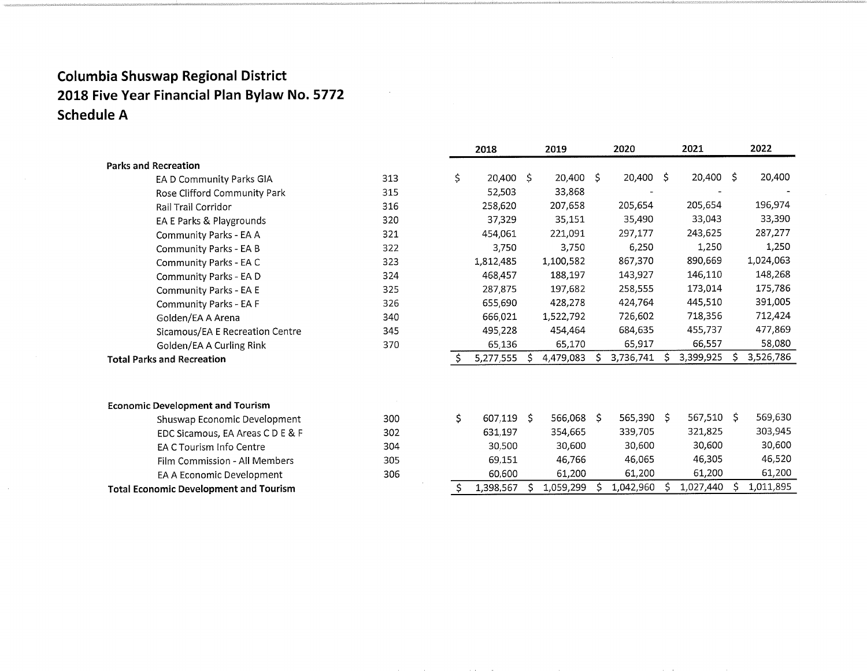|                                               |     |    | 2019<br>2018 |    |             | 2020 |           |    | 2021         |    | 2022      |
|-----------------------------------------------|-----|----|--------------|----|-------------|------|-----------|----|--------------|----|-----------|
| <b>Parks and Recreation</b>                   |     |    |              |    |             |      |           |    |              |    |           |
| EA D Community Parks GIA                      | 313 | \$ | $20,400$ \$  |    | $20,400$ \$ |      | 20,400 \$ |    | 20,400 \$    |    | 20,400    |
| Rose Clifford Community Park                  | 315 |    | 52,503       |    | 33,868      |      |           |    |              |    |           |
| Rail Trail Corridor                           | 316 |    | 258,620      |    | 207,658     |      | 205,654   |    | 205,654      |    | 196,974   |
| EA E Parks & Playgrounds                      | 320 |    | 37,329       |    | 35,151      |      | 35,490    |    | 33,043       |    | 33,390    |
| Community Parks - EA A                        | 321 |    | 454,061      |    | 221,091     |      | 297,177   |    | 243,625      |    | 287,277   |
| Community Parks - EA B                        | 322 |    | 3,750        |    | 3,750       |      | 6,250     |    | 1,250        |    | 1,250     |
| Community Parks - EA C                        | 323 |    | 1,812,485    |    | 1,100,582   |      | 867,370   |    | 890,669      |    | 1,024,063 |
| Community Parks - EA D                        | 324 |    | 468,457      |    | 188,197     |      | 143,927   |    | 146,110      |    | 148,268   |
| Community Parks - EA E                        | 325 |    | 287,875      |    | 197,682     |      | 258,555   |    | 173,014      |    | 175,786   |
| Community Parks - EA F                        | 326 |    | 655,690      |    | 428,278     |      | 424,764   |    | 445,510      |    | 391,005   |
| Golden/EA A Arena                             | 340 |    | 666,021      |    | 1,522,792   |      | 726,602   |    | 718,356      |    | 712,424   |
| Sicamous/EA E Recreation Centre               | 345 |    | 495,228      |    | 454,464     |      | 684,635   |    | 455,737      |    | 477,869   |
| Golden/EA A Curling Rink                      | 370 |    | 65,136       |    | 65,170      |      | 65,917    |    | 66,557       |    | 58,080    |
| <b>Total Parks and Recreation</b>             |     | Ŝ. | 5,277,555    |    | 4,479,083   |      | 3,736,741 | S  | 3,399,925    | Ŝ. | 3,526,786 |
| <b>Economic Development and Tourism</b>       |     |    |              |    |             |      |           |    |              |    |           |
| Shuswap Economic Development                  | 300 | \$ | 607,119      | -S | 566,068 \$  |      | 565,390   | S. | $567,510$ \$ |    | 569,630   |
| EDC Sicamous, EA Areas C D E & F              | 302 |    | 631,197      |    | 354,665     |      | 339,705   |    | 321,825      |    | 303,945   |
| EA C Tourism Info Centre                      | 304 |    | 30,500       |    | 30,600      |      | 30,600    |    | 30,600       |    | 30,600    |
| Film Commission - All Members                 | 305 |    | 69,151       |    | 46,766      |      | 46,065    |    | 46,305       |    | 46,520    |
| EA A Economic Development                     | 306 |    | 60,600       |    | 61,200      |      | 61,200    |    | 61,200       |    | 61,200    |
| <b>Total Economic Development and Tourism</b> |     | \$ | 1,398,567    |    | 1,059,299   |      | 1,042,960 |    | 1,027,440    |    | 1,011,895 |